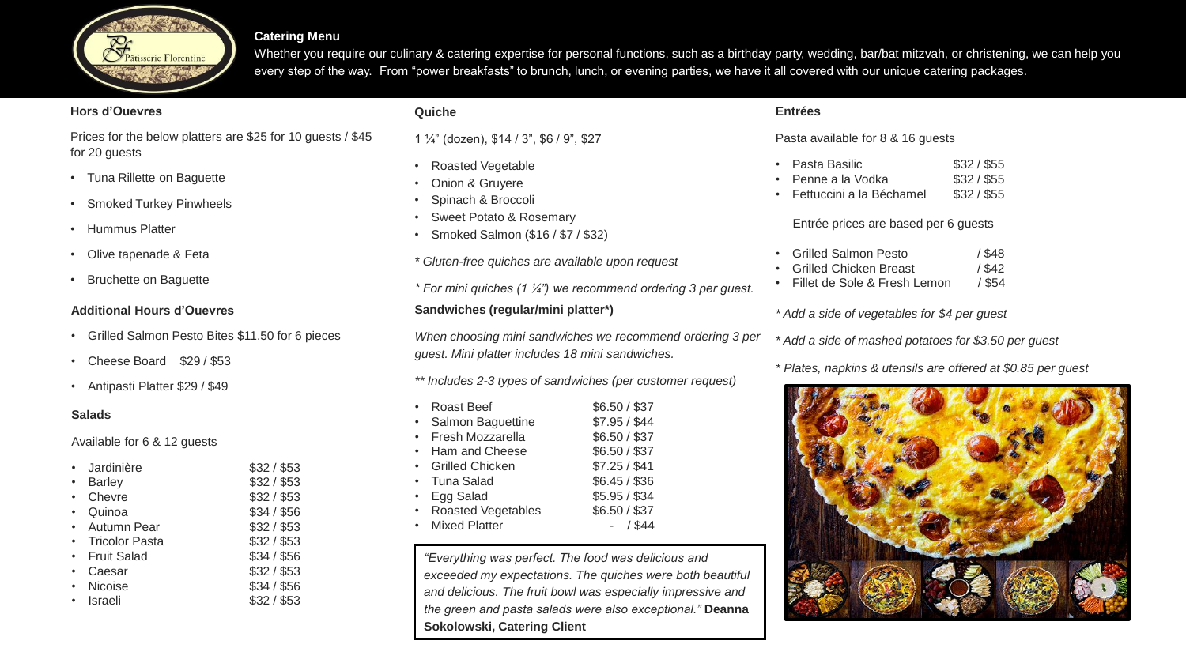

#### **Catering Menu**

Whether you require our culinary & catering expertise for personal functions, such as a birthday party, wedding, bar/bat mitzvah, or christening, we can help you every step of the way. From "power breakfasts" to brunch, lunch, or evening parties, we have it all covered with our unique catering packages.

#### **Hors d'Ouevres**

Prices for the below platters are \$25 for 10 guests / \$45 for 20 guests

- Tuna Rillette on Baguette
- Smoked Turkey Pinwheels
- Hummus Platter
- Olive tapenade & Feta
- Bruchette on Baguette

### **Additional Hours d'Ouevres**

- Grilled Salmon Pesto Bites \$11.50 for 6 pieces
- Cheese Board \$29 / \$53
- Antipasti Platter \$29 / \$49

### **Salads**

Available for 6 & 12 guests

| Jardinière            | \$32/\$53   |
|-----------------------|-------------|
| <b>Barley</b>         | \$32/\$53   |
| Chevre                | \$32/\$53   |
| Quinoa                | \$34/\$56   |
| Autumn Pear           | \$32/\$53   |
| <b>Tricolor Pasta</b> | \$32/\$53   |
| <b>Fruit Salad</b>    | \$34 / \$56 |
| Caesar                | \$32/\$53   |
| Nicoise               | \$34/\$56   |
| Israeli               | \$32/\$53   |
|                       |             |

### **Quiche**

1 ¼" (dozen), \$14 / 3", \$6 / 9", \$27

- Roasted Vegetable
- Onion & Gruyere
- Spinach & Broccoli
- Sweet Potato & Rosemary
- Smoked Salmon (\$16 / \$7 / \$32)
- *\* Gluten-free quiches are available upon request*
- *\* For mini quiches (1 ¼") we recommend ordering 3 per guest.*

### **Sandwiches (regular/mini platter\*)**

*When choosing mini sandwiches we recommend ordering 3 per guest. Mini platter includes 18 mini sandwiches.*

*\*\* Includes 2-3 types of sandwiches (per customer request)*

| Roast Beef           | \$6.50 / \$37 |
|----------------------|---------------|
| Salmon Baguettine    | \$7.95 / \$44 |
| Fresh Mozzarella     | \$6.50 / \$37 |
| Ham and Cheese       | \$6.50 / \$37 |
| • Grilled Chicken    | \$7.25 / \$41 |
| • Tuna Salad         | \$6.45 / \$36 |
| Egg Salad            | \$5.95 / \$34 |
| Roasted Vegetables   | \$6.50 / \$37 |
| <b>Mixed Platter</b> |               |

*"Everything was perfect. The food was delicious and exceeded my expectations. The quiches were both beautiful and delicious. The fruit bowl was especially impressive and the green and pasta salads were also exceptional."* **Deanna Sokolowski, Catering Client**

## **Entrées**

Pasta available for 8 & 16 guests

- Pasta Basilic \$32 / \$55
- Penne a la Vodka  $$32/$ \$55
- Fettuccini a la Béchamel \$32 / \$55

Entrée prices are based per 6 guests

- Grilled Salmon Pesto / \$48
- Grilled Chicken Breast / \$42
- Fillet de Sole & Fresh Lemon / \$54

# *\* Add a side of vegetables for \$4 per guest*

*\* Add a side of mashed potatoes for \$3.50 per guest*

# *\* Plates, napkins & utensils are offered at \$0.85 per guest*